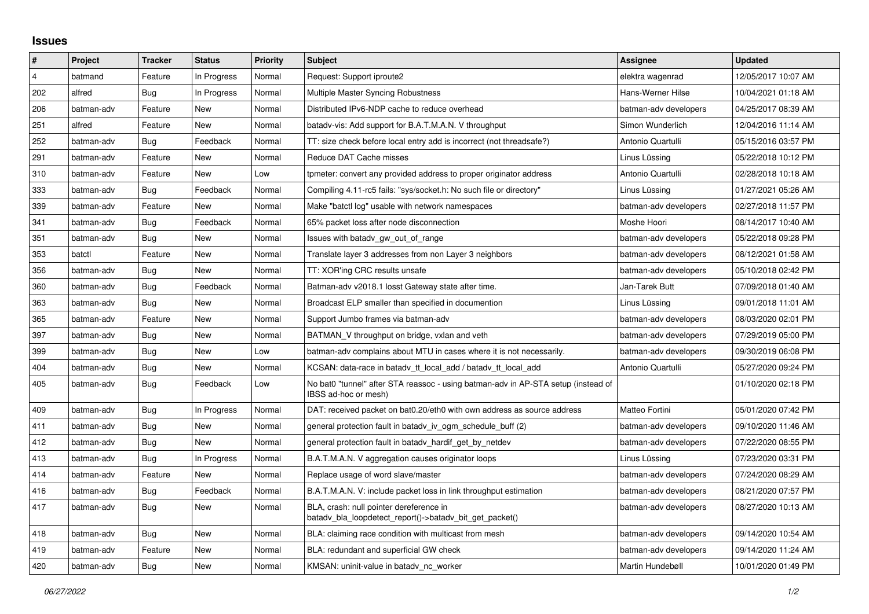## **Issues**

| #              | Project    | <b>Tracker</b> | <b>Status</b> | <b>Priority</b> | <b>Subject</b>                                                                                            | <b>Assignee</b>       | <b>Updated</b>      |
|----------------|------------|----------------|---------------|-----------------|-----------------------------------------------------------------------------------------------------------|-----------------------|---------------------|
| $\overline{4}$ | batmand    | Feature        | In Progress   | Normal          | Request: Support iproute2                                                                                 | elektra wagenrad      | 12/05/2017 10:07 AM |
| 202            | alfred     | Bug            | In Progress   | Normal          | Multiple Master Syncing Robustness                                                                        | Hans-Werner Hilse     | 10/04/2021 01:18 AM |
| 206            | batman-adv | Feature        | New           | Normal          | Distributed IPv6-NDP cache to reduce overhead                                                             | batman-adv developers | 04/25/2017 08:39 AM |
| 251            | alfred     | Feature        | <b>New</b>    | Normal          | batady-vis: Add support for B.A.T.M.A.N. V throughput                                                     | Simon Wunderlich      | 12/04/2016 11:14 AM |
| 252            | batman-adv | Bug            | Feedback      | Normal          | TT: size check before local entry add is incorrect (not threadsafe?)                                      | Antonio Quartulli     | 05/15/2016 03:57 PM |
| 291            | batman-adv | Feature        | New           | Normal          | Reduce DAT Cache misses                                                                                   | Linus Lüssing         | 05/22/2018 10:12 PM |
| 310            | batman-adv | Feature        | <b>New</b>    | Low             | tpmeter: convert any provided address to proper originator address                                        | Antonio Quartulli     | 02/28/2018 10:18 AM |
| 333            | batman-adv | Bug            | Feedback      | Normal          | Compiling 4.11-rc5 fails: "sys/socket.h: No such file or directory"                                       | Linus Lüssing         | 01/27/2021 05:26 AM |
| 339            | batman-adv | Feature        | New           | Normal          | Make "batctl log" usable with network namespaces                                                          | batman-adv developers | 02/27/2018 11:57 PM |
| 341            | batman-adv | Bug            | Feedback      | Normal          | 65% packet loss after node disconnection                                                                  | Moshe Hoori           | 08/14/2017 10:40 AM |
| 351            | batman-adv | Bug            | <b>New</b>    | Normal          | Issues with batady gw out of range                                                                        | batman-adv developers | 05/22/2018 09:28 PM |
| 353            | batctl     | Feature        | New           | Normal          | Translate layer 3 addresses from non Layer 3 neighbors                                                    | batman-adv developers | 08/12/2021 01:58 AM |
| 356            | batman-adv | Bug            | New           | Normal          | TT: XOR'ing CRC results unsafe                                                                            | batman-adv developers | 05/10/2018 02:42 PM |
| 360            | batman-adv | Bug            | Feedback      | Normal          | Batman-adv v2018.1 losst Gateway state after time.                                                        | Jan-Tarek Butt        | 07/09/2018 01:40 AM |
| 363            | batman-adv | Bug            | New           | Normal          | Broadcast ELP smaller than specified in documention                                                       | Linus Lüssing         | 09/01/2018 11:01 AM |
| 365            | batman-adv | Feature        | New           | Normal          | Support Jumbo frames via batman-adv                                                                       | batman-adv developers | 08/03/2020 02:01 PM |
| 397            | batman-adv | Bug            | New           | Normal          | BATMAN V throughput on bridge, vxlan and veth                                                             | batman-adv developers | 07/29/2019 05:00 PM |
| 399            | batman-adv | Bug            | New           | Low             | batman-adv complains about MTU in cases where it is not necessarily.                                      | batman-adv developers | 09/30/2019 06:08 PM |
| 404            | batman-adv | Bug            | <b>New</b>    | Normal          | KCSAN: data-race in batady tt local add / batady tt local add                                             | Antonio Quartulli     | 05/27/2020 09:24 PM |
| 405            | batman-adv | Bug            | Feedback      | Low             | No bat0 "tunnel" after STA reassoc - using batman-adv in AP-STA setup (instead of<br>IBSS ad-hoc or mesh) |                       | 01/10/2020 02:18 PM |
| 409            | batman-adv | Bug            | In Progress   | Normal          | DAT: received packet on bat0.20/eth0 with own address as source address                                   | Matteo Fortini        | 05/01/2020 07:42 PM |
| 411            | batman-adv | Bug            | <b>New</b>    | Normal          | general protection fault in batady iv ogm schedule buff (2)                                               | batman-adv developers | 09/10/2020 11:46 AM |
| 412            | batman-adv | Bug            | New           | Normal          | general protection fault in batady_hardif_get_by_netdev                                                   | batman-adv developers | 07/22/2020 08:55 PM |
| 413            | batman-adv | Bug            | In Progress   | Normal          | B.A.T.M.A.N. V aggregation causes originator loops                                                        | Linus Lüssing         | 07/23/2020 03:31 PM |
| 414            | batman-adv | Feature        | New           | Normal          | Replace usage of word slave/master                                                                        | batman-adv developers | 07/24/2020 08:29 AM |
| 416            | batman-adv | Bug            | Feedback      | Normal          | B.A.T.M.A.N. V: include packet loss in link throughput estimation                                         | batman-adv developers | 08/21/2020 07:57 PM |
| 417            | batman-adv | Bug            | New           | Normal          | BLA, crash: null pointer dereference in<br>batady bla loopdetect report()->batady bit get packet()        | batman-adv developers | 08/27/2020 10:13 AM |
| 418            | batman-adv | Bug            | New           | Normal          | BLA: claiming race condition with multicast from mesh                                                     | batman-adv developers | 09/14/2020 10:54 AM |
| 419            | batman-adv | Feature        | New           | Normal          | BLA: redundant and superficial GW check                                                                   | batman-adv developers | 09/14/2020 11:24 AM |
| 420            | batman-adv | Bug            | <b>New</b>    | Normal          | KMSAN: uninit-value in batady nc worker                                                                   | Martin Hundebøll      | 10/01/2020 01:49 PM |